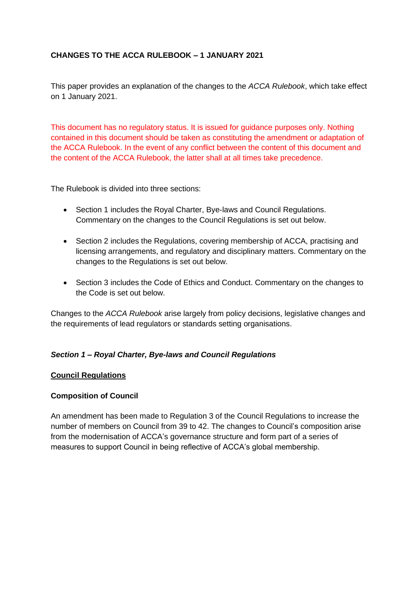# **CHANGES TO THE ACCA RULEBOOK – 1 JANUARY 2021**

This paper provides an explanation of the changes to the *ACCA Rulebook*, which take effect on 1 January 2021.

This document has no regulatory status. It is issued for guidance purposes only. Nothing contained in this document should be taken as constituting the amendment or adaptation of the ACCA Rulebook. In the event of any conflict between the content of this document and the content of the ACCA Rulebook, the latter shall at all times take precedence.

The Rulebook is divided into three sections:

- Section 1 includes the Royal Charter, Bye-laws and Council Regulations. Commentary on the changes to the Council Regulations is set out below.
- Section 2 includes the Regulations, covering membership of ACCA, practising and licensing arrangements, and regulatory and disciplinary matters. Commentary on the changes to the Regulations is set out below.
- Section 3 includes the Code of Ethics and Conduct. Commentary on the changes to the Code is set out below.

Changes to the *ACCA Rulebook* arise largely from policy decisions, legislative changes and the requirements of lead regulators or standards setting organisations.

# *Section 1 – Royal Charter, Bye-laws and Council Regulations*

### **Council Regulations**

### **Composition of Council**

An amendment has been made to Regulation 3 of the Council Regulations to increase the number of members on Council from 39 to 42. The changes to Council's composition arise from the modernisation of ACCA's governance structure and form part of a series of measures to support Council in being reflective of ACCA's global membership.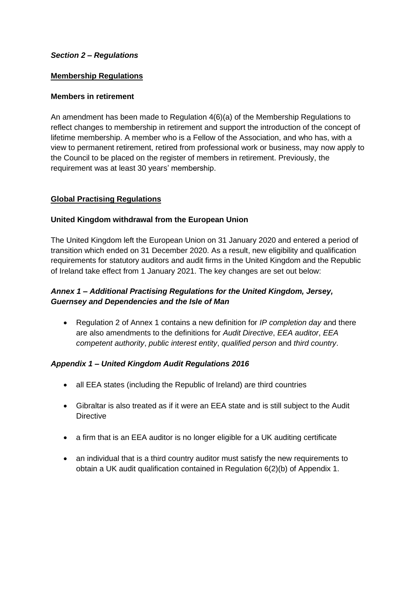## *Section 2 – Regulations*

### **Membership Regulations**

## **Members in retirement**

An amendment has been made to Regulation 4(6)(a) of the Membership Regulations to reflect changes to membership in retirement and support the introduction of the concept of lifetime membership. A member who is a Fellow of the Association, and who has, with a view to permanent retirement, retired from professional work or business, may now apply to the Council to be placed on the register of members in retirement. Previously, the requirement was at least 30 years' membership.

## **Global Practising Regulations**

## **United Kingdom withdrawal from the European Union**

The United Kingdom left the European Union on 31 January 2020 and entered a period of transition which ended on 31 December 2020. As a result, new eligibility and qualification requirements for statutory auditors and audit firms in the United Kingdom and the Republic of Ireland take effect from 1 January 2021. The key changes are set out below:

# *Annex 1 – Additional Practising Regulations for the United Kingdom, Jersey, Guernsey and Dependencies and the Isle of Man*

• Regulation 2 of Annex 1 contains a new definition for *IP completion day* and there are also amendments to the definitions for *Audit Directive*, *EEA auditor*, *EEA competent authority*, *public interest entity*, *qualified person* and *third country*.

### *Appendix 1 – United Kingdom Audit Regulations 2016*

- all EEA states (including the Republic of Ireland) are third countries
- Gibraltar is also treated as if it were an EEA state and is still subject to the Audit **Directive**
- a firm that is an EEA auditor is no longer eligible for a UK auditing certificate
- an individual that is a third country auditor must satisfy the new requirements to obtain a UK audit qualification contained in Regulation 6(2)(b) of Appendix 1.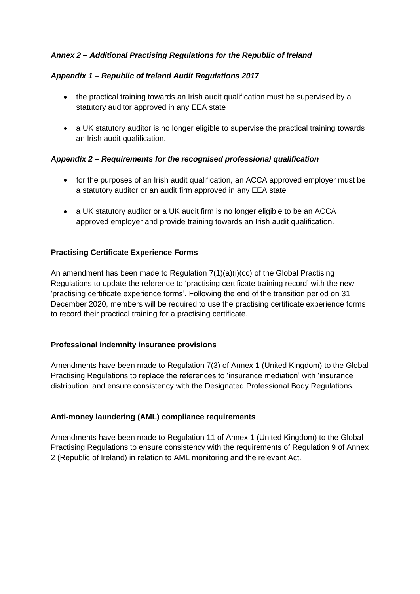## *Annex 2 – Additional Practising Regulations for the Republic of Ireland*

## *Appendix 1 – Republic of Ireland Audit Regulations 2017*

- the practical training towards an Irish audit qualification must be supervised by a statutory auditor approved in any EEA state
- a UK statutory auditor is no longer eligible to supervise the practical training towards an Irish audit qualification.

## *Appendix 2 – Requirements for the recognised professional qualification*

- for the purposes of an Irish audit qualification, an ACCA approved employer must be a statutory auditor or an audit firm approved in any EEA state
- a UK statutory auditor or a UK audit firm is no longer eligible to be an ACCA approved employer and provide training towards an Irish audit qualification.

## **Practising Certificate Experience Forms**

An amendment has been made to Regulation  $7(1)(a)(i)(cc)$  of the Global Practising Regulations to update the reference to 'practising certificate training record' with the new 'practising certificate experience forms'. Following the end of the transition period on 31 December 2020, members will be required to use the practising certificate experience forms to record their practical training for a practising certificate.

### **Professional indemnity insurance provisions**

Amendments have been made to Regulation 7(3) of Annex 1 (United Kingdom) to the Global Practising Regulations to replace the references to 'insurance mediation' with 'insurance distribution' and ensure consistency with the Designated Professional Body Regulations.

### **Anti-money laundering (AML) compliance requirements**

Amendments have been made to Regulation 11 of Annex 1 (United Kingdom) to the Global Practising Regulations to ensure consistency with the requirements of Regulation 9 of Annex 2 (Republic of Ireland) in relation to AML monitoring and the relevant Act.